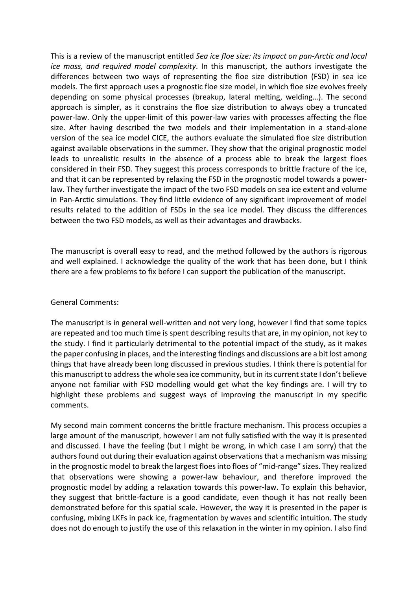This is a review of the manuscript entitled *Sea ice floe size: its impact on pan-Arctic and local ice mass, and required model complexity*. In this manuscript, the authors investigate the differences between two ways of representing the floe size distribution (FSD) in sea ice models. The first approach uses a prognostic floe size model, in which floe size evolves freely depending on some physical processes (breakup, lateral melting, welding…). The second approach is simpler, as it constrains the floe size distribution to always obey a truncated power-law. Only the upper-limit of this power-law varies with processes affecting the floe size. After having described the two models and their implementation in a stand-alone version of the sea ice model CICE, the authors evaluate the simulated floe size distribution against available observations in the summer. They show that the original prognostic model leads to unrealistic results in the absence of a process able to break the largest floes considered in their FSD. They suggest this process corresponds to brittle fracture of the ice, and that it can be represented by relaxing the FSD in the prognostic model towards a powerlaw. They further investigate the impact of the two FSD models on sea ice extent and volume in Pan-Arctic simulations. They find little evidence of any significant improvement of model results related to the addition of FSDs in the sea ice model. They discuss the differences between the two FSD models, as well as their advantages and drawbacks.

The manuscript is overall easy to read, and the method followed by the authors is rigorous and well explained. I acknowledge the quality of the work that has been done, but I think there are a few problems to fix before I can support the publication of the manuscript.

#### General Comments:

The manuscript is in general well-written and not very long, however I find that some topics are repeated and too much time is spent describing results that are, in my opinion, not key to the study. I find it particularly detrimental to the potential impact of the study, as it makes the paper confusing in places, and the interesting findings and discussions are a bit lost among things that have already been long discussed in previous studies. I think there is potential for this manuscript to address the whole sea ice community, but in its current state I don't believe anyone not familiar with FSD modelling would get what the key findings are. I will try to highlight these problems and suggest ways of improving the manuscript in my specific comments.

My second main comment concerns the brittle fracture mechanism. This process occupies a large amount of the manuscript, however I am not fully satisfied with the way it is presented and discussed. I have the feeling (but I might be wrong, in which case I am sorry) that the authors found out during their evaluation against observations that a mechanism was missing in the prognostic model to break the largest floes into floes of "mid-range" sizes. They realized that observations were showing a power-law behaviour, and therefore improved the prognostic model by adding a relaxation towards this power-law. To explain this behavior, they suggest that brittle-facture is a good candidate, even though it has not really been demonstrated before for this spatial scale. However, the way it is presented in the paper is confusing, mixing LKFs in pack ice, fragmentation by waves and scientific intuition. The study does not do enough to justify the use of this relaxation in the winter in my opinion. I also find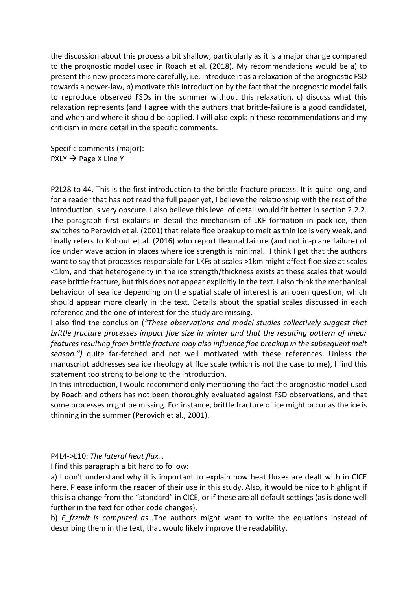the discussion about this process a bit shallow, particularly as it is a major change compared to the prognostic model used in Roach et al. (2018). My recommendations would be a) to present this new process more carefully, i.e. introduce it as a relaxation of the prognostic FSD towards a power-law, b) motivate this introduction by the fact that the prognostic model fails to reproduce observed FSDs in the summer without this relaxation, c) discuss what this relaxation represents (and I agree with the authors that brittle-failure is a good candidate), and when and where it should be applied. I will also explain these recommendations and my criticism in more detail in the specific comments.

Specific comments (major):  $P XLY \rightarrow Page X Line Y$ 

P2L28 to 44. This is the first introduction to the brittle-fracture process. It is quite long, and for a reader that has not read the full paper yet, I believe the relationship with the rest of the introduction is very obscure. I also believe this level of detail would fit better in section 2.2.2. The paragraph first explains in detail the mechanism of LKF formation in pack ice, then switches to Perovich et al. (2001) that relate floe breakup to melt as thin ice is very weak, and finally refers to Kohout et al. (2016) who report flexural failure (and not in-plane failure) of ice under wave action in places where ice strength is minimal. I think I get that the authors want to say that processes responsible for LKFs at scales >1km might affect floe size at scales <1km, and that heterogeneity in the ice strength/thickness exists at these scales that would ease brittle fracture, but this does not appear explicitly in the text. I also think the mechanical behaviour of sea ice depending on the spatial scale of interest is an open question, which should appear more clearly in the text. Details about the spatial scales discussed in each reference and the one of interest for the study are missing.

I also find the conclusion (*"These observations and model studies collectively suggest that brittle fracture processes impact floe size in winter and that the resulting pattern of linear features resulting from brittle fracture may also influence floe breakup in the subsequent melt season.")* quite far-fetched and not well motivated with these references. Unless the manuscript addresses sea ice rheology at floe scale (which is not the case to me), I find this statement too strong to belong to the introduction.

In this introduction, I would recommend only mentioning the fact the prognostic model used by Roach and others has not been thoroughly evaluated against FSD observations, and that some processes might be missing. For instance, brittle fracture of ice might occur as the ice is thinning in the summer (Perovich et al., 2001).

P4L4->L10: *The lateral heat flux…*

I find this paragraph a bit hard to follow:

a) I don't understand why it is important to explain how heat fluxes are dealt with in CICE here. Please inform the reader of their use in this study. Also, it would be nice to highlight if this is a change from the "standard" in CICE, or if these are all default settings (as is done well further in the text for other code changes).

b) *F* frzmlt is computed as...The authors might want to write the equations instead of describing them in the text, that would likely improve the readability.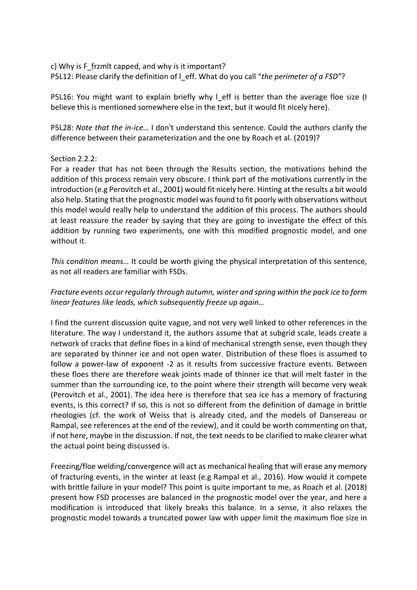c) Why is F\_frzmlt capped, and why is it important? P5L12: Please clarify the definition of l\_eff. What do you call "*the perimeter of a FSD"*?

P5L16: You might want to explain briefly why I eff is better than the average floe size (I believe this is mentioned somewhere else in the text, but it would fit nicely here).

P5L28: *Note that the in-ice…* I don't understand this sentence. Could the authors clarify the difference between their parameterization and the one by Roach et al. (2019)?

#### Section 2.2.2:

For a reader that has not been through the Results section, the motivations behind the addition of this process remain very obscure. I think part of the motivations currently in the introduction (e.g Perovitch et al., 2001) would fit nicely here. Hinting at the results a bit would also help. Stating that the prognostic model was found to fit poorly with observations without this model would really help to understand the addition of this process. The authors should at least reassure the reader by saying that they are going to investigate the effect of this addition by running two experiments, one with this modified prognostic model, and one without it.

*This condition means…* It could be worth giving the physical interpretation of this sentence, as not all readers are familiar with FSDs.

# *Fracture events occur regularly through autumn, winter and spring within the pack ice to form linear features like leads, which subsequently freeze up again…*

I find the current discussion quite vague, and not very well linked to other references in the literature. The way I understand it, the authors assume that at subgrid scale, leads create a network of cracks that define floes in a kind of mechanical strength sense, even though they are separated by thinner ice and not open water. Distribution of these floes is assumed to follow a power-law of exponent -2 as it results from successive fracture events. Between these floes there are therefore weak joints made of thinner ice that will melt faster in the summer than the surrounding ice, to the point where their strength will become very weak (Perovitch et al., 2001). The idea here is therefore that sea ice has a memory of fracturing events, is this correct? If so, this is not so different from the definition of damage in brittle rheologies (cf. the work of Weiss that is already cited, and the models of Dansereau or Rampal, see references at the end of the review), and it could be worth commenting on that, if not here, maybe in the discussion. If not, the text needs to be clarified to make clearer what the actual point being discussed is.

Freezing/floe welding/convergence will act as mechanical healing that will erase any memory of fracturing events, in the winter at least (e.g Rampal et al., 2016). How would it compete with brittle failure in your model? This point is quite important to me, as Roach et al. (2018) present how FSD processes are balanced in the prognostic model over the year, and here a modification is introduced that likely breaks this balance. In a sense, it also relaxes the prognostic model towards a truncated power law with upper limit the maximum floe size in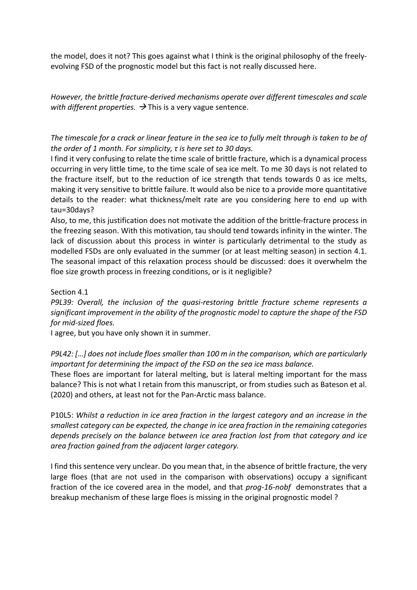the model, does it not? This goes against what I think is the original philosophy of the freelyevolving FSD of the prognostic model but this fact is not really discussed here.

*However, the brittle fracture-derived mechanisms operate over different timescales and scale with different properties.*  $\rightarrow$  This is a very vague sentence.

*The timescale for a crack or linear feature in the sea ice to fully melt through is taken to be of the order of 1 month. For simplicity, τ is here set to 30 days.*

I find it very confusing to relate the time scale of brittle fracture, which is a dynamical process occurring in very little time, to the time scale of sea ice melt. To me 30 days is not related to the fracture itself, but to the reduction of ice strength that tends towards 0 as ice melts, making it very sensitive to brittle failure. It would also be nice to a provide more quantitative details to the reader: what thickness/melt rate are you considering here to end up with tau=30days?

Also, to me, this justification does not motivate the addition of the brittle-fracture process in the freezing season. With this motivation, tau should tend towards infinity in the winter. The lack of discussion about this process in winter is particularly detrimental to the study as modelled FSDs are only evaluated in the summer (or at least melting season) in section 4.1. The seasonal impact of this relaxation process should be discussed: does it overwhelm the floe size growth process in freezing conditions, or is it negligible?

Section 4.1

*P9L39: Overall, the inclusion of the quasi-restoring brittle fracture scheme represents a significant improvement in the ability of the prognostic model to capture the shape of the FSD for mid-sized floes.* 

I agree, but you have only shown it in summer.

*P9L42: […] does not include floes smaller than 100 m in the comparison, which are particularly important for determining the impact of the FSD on the sea ice mass balance.*

These floes are important for lateral melting, but is lateral melting important for the mass balance? This is not what I retain from this manuscript, or from studies such as Bateson et al. (2020) and others, at least not for the Pan-Arctic mass balance.

P10L5: *Whilst a reduction in ice area fraction in the largest category and an increase in the smallest category can be expected, the change in ice area fraction in the remaining categories depends precisely on the balance between ice area fraction lost from that category and ice area fraction gained from the adjacent larger category.*

I find thissentence very unclear. Do you mean that, in the absence of brittle fracture, the very large floes (that are not used in the comparison with observations) occupy a significant fraction of the ice covered area in the model, and that *prog-16-nobf* demonstrates that a breakup mechanism of these large floes is missing in the original prognostic model ?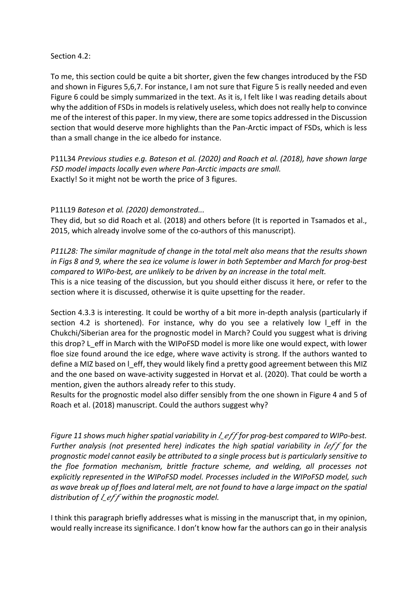## Section 4.2:

To me, this section could be quite a bit shorter, given the few changes introduced by the FSD and shown in Figures 5,6,7. For instance, I am not sure that Figure 5 is really needed and even Figure 6 could be simply summarized in the text. As it is, I felt like I was reading details about why the addition of FSDs in models is relatively useless, which does not really help to convince me of the interest of this paper. In my view, there are some topics addressed in the Discussion section that would deserve more highlights than the Pan-Arctic impact of FSDs, which is less than a small change in the ice albedo for instance.

P11L34 *Previous studies e.g. Bateson et al. (2020) and Roach et al. (2018), have shown large FSD model impacts locally even where Pan-Arctic impacts are small.*  Exactly! So it might not be worth the price of 3 figures.

## P11L19 *Bateson et al. (2020) demonstrated...*

They did, but so did Roach et al. (2018) and others before (It is reported in Tsamados et al., 2015, which already involve some of the co-authors of this manuscript).

*P11L28: The similar magnitude of change in the total melt also means that the results shown in Figs 8 and 9, where the sea ice volume is lower in both September and March for prog-best compared to WIPo-best, are unlikely to be driven by an increase in the total melt.* This is a nice teasing of the discussion, but you should either discuss it here, or refer to the section where it is discussed, otherwise it is quite upsetting for the reader.

Section 4.3.3 is interesting. It could be worthy of a bit more in-depth analysis (particularly if section 4.2 is shortened). For instance, why do you see a relatively low I eff in the Chukchi/Siberian area for the prognostic model in March? Could you suggest what is driving this drop? L\_eff in March with the WIPoFSD model is more like one would expect, with lower floe size found around the ice edge, where wave activity is strong. If the authors wanted to define a MIZ based on l\_eff, they would likely find a pretty good agreement between this MIZ and the one based on wave-activity suggested in Horvat et al. (2020). That could be worth a mention, given the authors already refer to this study.

Results for the prognostic model also differ sensibly from the one shown in Figure 4 and 5 of Roach et al. (2018) manuscript. Could the authors suggest why?

*Figure 11 shows much higher spatial variability in*  $\ell$  *efffor prog-best compared to WIPo-best. Further analysis (not presented here) indicates the high spatial variability in leff for the prognostic model cannot easily be attributed to a single process but is particularly sensitive to the floe formation mechanism, brittle fracture scheme, and welding, all processes not explicitly represented in the WIPoFSD model. Processes included in the WIPoFSD model, such as wave break up of floes and lateral melt, are not found to have a large impact on the spatial distribution of l\_eff within the prognostic model.* 

I think this paragraph briefly addresses what is missing in the manuscript that, in my opinion, would really increase its significance. I don't know how far the authors can go in their analysis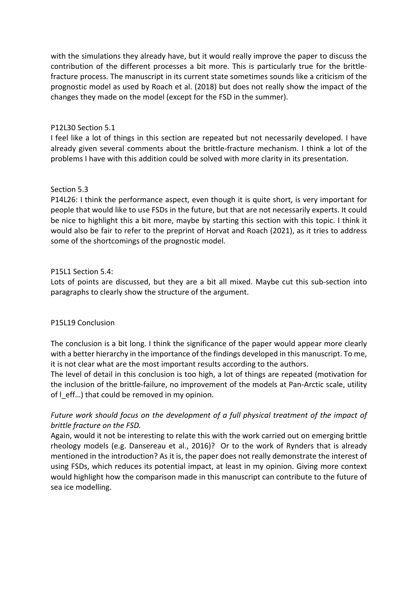with the simulations they already have, but it would really improve the paper to discuss the contribution of the different processes a bit more. This is particularly true for the brittlefracture process. The manuscript in its current state sometimes sounds like a criticism of the prognostic model as used by Roach et al. (2018) but does not really show the impact of the changes they made on the model (except for the FSD in the summer).

## P12L30 Section 5.1

I feel like a lot of things in this section are repeated but not necessarily developed. I have already given several comments about the brittle-fracture mechanism. I think a lot of the problems I have with this addition could be solved with more clarity in its presentation.

## Section 5.3

P14L26: I think the performance aspect, even though it is quite short, is very important for people that would like to use FSDs in the future, but that are not necessarily experts. It could be nice to highlight this a bit more, maybe by starting this section with this topic. I think it would also be fair to refer to the preprint of Horvat and Roach (2021), as it tries to address some of the shortcomings of the prognostic model.

## P15L1 Section 5.4:

Lots of points are discussed, but they are a bit all mixed. Maybe cut this sub-section into paragraphs to clearly show the structure of the argument.

#### P15L19 Conclusion

The conclusion is a bit long. I think the significance of the paper would appear more clearly with a better hierarchy in the importance of the findings developed in this manuscript. To me, it is not clear what are the most important results according to the authors.

The level of detail in this conclusion is too high, a lot of things are repeated (motivation for the inclusion of the brittle-failure, no improvement of the models at Pan-Arctic scale, utility of  $\vert$  eff...) that could be removed in my opinion.

# *Future work should focus on the development of a full physical treatment of the impact of brittle fracture on the FSD.*

Again, would it not be interesting to relate this with the work carried out on emerging brittle rheology models (e.g. Dansereau et al., 2016)? Or to the work of Rynders that is already mentioned in the introduction? As it is, the paper does not really demonstrate the interest of using FSDs, which reduces its potential impact, at least in my opinion. Giving more context would highlight how the comparison made in this manuscript can contribute to the future of sea ice modelling.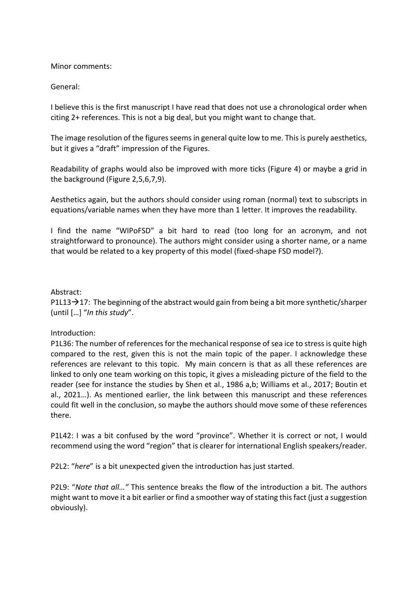Minor comments:

General:

I believe this is the first manuscript I have read that does not use a chronological order when citing 2+ references. This is not a big deal, but you might want to change that.

The image resolution of the figures seemsin general quite low to me. This is purely aesthetics, but it gives a "draft" impression of the Figures.

Readability of graphs would also be improved with more ticks (Figure 4) or maybe a grid in the background (Figure 2,5,6,7,9).

Aesthetics again, but the authors should consider using roman (normal) text to subscripts in equations/variable names when they have more than 1 letter. It improves the readability.

I find the name "WIPoFSD" a bit hard to read (too long for an acronym, and not straightforward to pronounce). The authors might consider using a shorter name, or a name that would be related to a key property of this model (fixed-shape FSD model?).

## Abstract:

P1L13 $\rightarrow$ 17: The beginning of the abstract would gain from being a bit more synthetic/sharper (until […] "*In this study*".

#### Introduction:

P1L36: The number of references for the mechanical response of sea ice to stressis quite high compared to the rest, given this is not the main topic of the paper. I acknowledge these references are relevant to this topic. My main concern is that as all these references are linked to only one team working on this topic, it gives a misleading picture of the field to the reader (see for instance the studies by Shen et al., 1986 a,b; Williams et al., 2017; Boutin et al., 2021…). As mentioned earlier, the link between this manuscript and these references could fit well in the conclusion, so maybe the authors should move some of these references there.

P1L42: I was a bit confused by the word "province". Whether it is correct or not, I would recommend using the word "region" that is clearer for international English speakers/reader.

P2L2: "*here*" is a bit unexpected given the introduction has just started.

P2L9: "*Note that all…"* This sentence breaks the flow of the introduction a bit. The authors might want to move it a bit earlier or find a smoother way of stating this fact (just a suggestion obviously).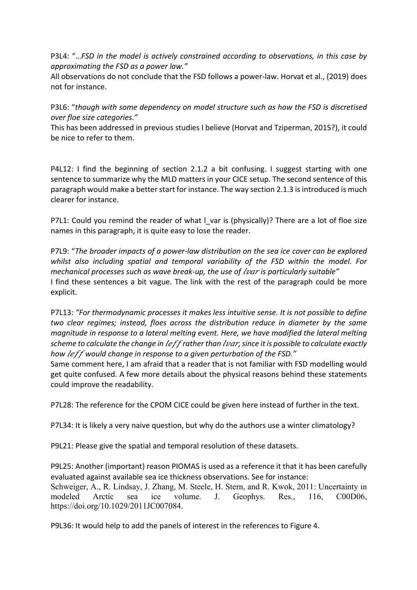P3L4: "…*FSD in the model is actively constrained according to observations, in this case by approximating the FSD as a power law."*

All observations do not conclude that the FSD follows a power-law. Horvat et al., (2019) does not for instance.

P3L6: "*though with some dependency on model structure such as how the FSD is discretised over floe size categories."*

This has been addressed in previous studies I believe (Horvat and Tziperman, 2015?), it could be nice to refer to them.

P4L12: I find the beginning of section 2.1.2 a bit confusing. I suggest starting with one sentence to summarize why the MLD matters in your CICE setup. The second sentence of this paragraph would make a better start for instance. The way section 2.1.3 is introduced is much clearer for instance.

P7L1: Could you remind the reader of what I var is (physically)? There are a lot of floe size names in this paragraph, it is quite easy to lose the reader.

P7L9: "*The broader impacts of a power-law distribution on the sea ice cover can be explored whilst also including spatial and temporal variability of the FSD within the model. For mechanical processes such as wave break-up, the use of <i>lvar* is particularly suitable" I find these sentences a bit vague. The link with the rest of the paragraph could be more explicit.

P7L13: *"For thermodynamic processes it makes less intuitive sense. It is not possible to define two clear regimes; instead, floes across the distribution reduce in diameter by the same magnitude in response to a lateral melting event. Here, we have modified the lateral melting scheme to calculate the change in leff rather than lvar, since it is possible to calculate exactly* how *leff* would change in response to a given perturbation of the FSD."

Same comment here, I am afraid that a reader that is not familiar with FSD modelling would get quite confused. A few more details about the physical reasons behind these statements could improve the readability.

P7L28: The reference for the CPOM CICE could be given here instead of further in the text.

P7L34: It is likely a very naive question, but why do the authors use a winter climatology?

P9L21: Please give the spatial and temporal resolution of these datasets.

P9L25: Another (important) reason PIOMAS is used as a reference it that it has been carefully evaluated against available sea ice thickness observations. See for instance: Schweiger, A., R. Lindsay, J. Zhang, M. Steele, H. Stern, and R. Kwok, 2011: Uncertainty in modeled Arctic sea ice volume. J. Geophys. Res., 116, C00D06, https://doi.org/10.1029/2011JC007084.

P9L36: It would help to add the panels of interest in the references to Figure 4.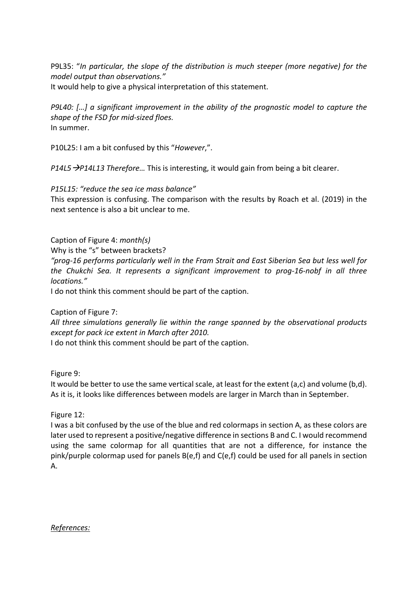P9L35: "*In particular, the slope of the distribution is much steeper (more negative) for the model output than observations."*

It would help to give a physical interpretation of this statement.

*P9L40: […] a significant improvement in the ability of the prognostic model to capture the shape of the FSD for mid-sized floes.* In summer.

P10L25: I am a bit confused by this "*However*,".

*P14L5*à*P14L13 Therefore…* This is interesting, it would gain from being a bit clearer.

*P15L15: "reduce the sea ice mass balance"*

This expression is confusing. The comparison with the results by Roach et al. (2019) in the next sentence is also a bit unclear to me.

Caption of Figure 4: *month(s)*

Why is the "s" between brackets?

*"prog-16 performs particularly well in the Fram Strait and East Siberian Sea but less well for the Chukchi Sea. It represents a significant improvement to prog-16-nobf in all three locations."*

I do not think this comment should be part of the caption.

Caption of Figure 7:

*All three simulations generally lie within the range spanned by the observational products except for pack ice extent in March after 2010.*

I do not think this comment should be part of the caption.

Figure 9:

It would be better to use the same vertical scale, at least for the extent (a,c) and volume (b,d). As it is, it looks like differences between models are larger in March than in September.

Figure 12:

I was a bit confused by the use of the blue and red colormaps in section A, as these colors are later used to represent a positive/negative difference in sections B and C. I would recommend using the same colormap for all quantities that are not a difference, for instance the pink/purple colormap used for panels B(e,f) and C(e,f) could be used for all panels in section A.

*References:*